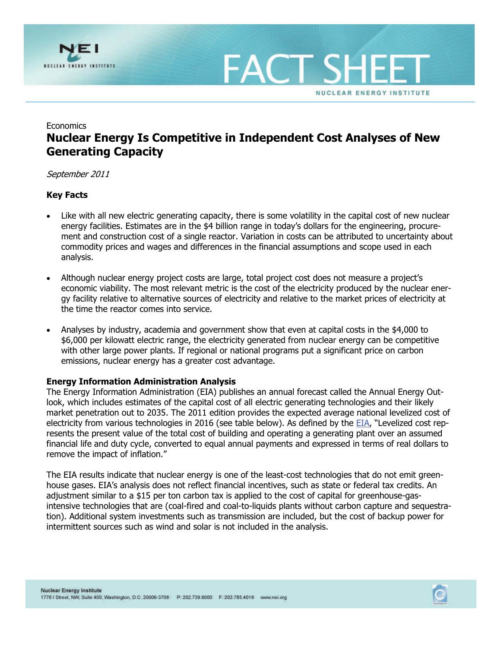

**FACT SH NUCLEAR ENERGY INSTITUTE** 

# Economics **Nuclear Energy Is Competitive in Independent Cost Analyses of New Generating Capacity**

## September 2011

## **Key Facts**

- Like with all new electric generating capacity, there is some volatility in the capital cost of new nuclear energy facilities. Estimates are in the \$4 billion range in today's dollars for the engineering, procurement and construction cost of a single reactor. Variation in costs can be attributed to uncertainty about commodity prices and wages and differences in the financial assumptions and scope used in each analysis.
- Although nuclear energy project costs are large, total project cost does not measure a project's economic viability. The most relevant metric is the cost of the electricity produced by the nuclear energy facility relative to alternative sources of electricity and relative to the market prices of electricity at the time the reactor comes into service.
- Analyses by industry, academia and government show that even at capital costs in the \$4,000 to \$6,000 per kilowatt electric range, the electricity generated from nuclear energy can be competitive with other large power plants. If regional or national programs put a significant price on carbon emissions, nuclear energy has a greater cost advantage.

## **Energy Information Administration Analysis**

The Energy Information Administration (EIA) publishes an annual forecast called the Annual Energy Outlook, which includes estimates of the capital cost of all electric generating technologies and their likely market penetration out to 2035. The 2011 edition provides the expected average national levelized cost of electricity from various technologies in 2016 (see table below). As defined by the [EIA](http://205.254.135.24/oiaf/aeo/electricity_generation.html), "Levelized cost represents the present value of the total cost of building and operating a generating plant over an assumed financial life and duty cycle, converted to equal annual payments and expressed in terms of real dollars to remove the impact of inflation."

The EIA results indicate that nuclear energy is one of the least-cost technologies that do not emit greenhouse gases. EIA's analysis does not reflect financial incentives, such as state or federal tax credits. An adjustment similar to a \$15 per ton carbon tax is applied to the cost of capital for greenhouse-gasintensive technologies that are (coal-fired and coal-to-liquids plants without carbon capture and sequestration). Additional system investments such as transmission are included, but the cost of backup power for intermittent sources such as wind and solar is not included in the analysis.

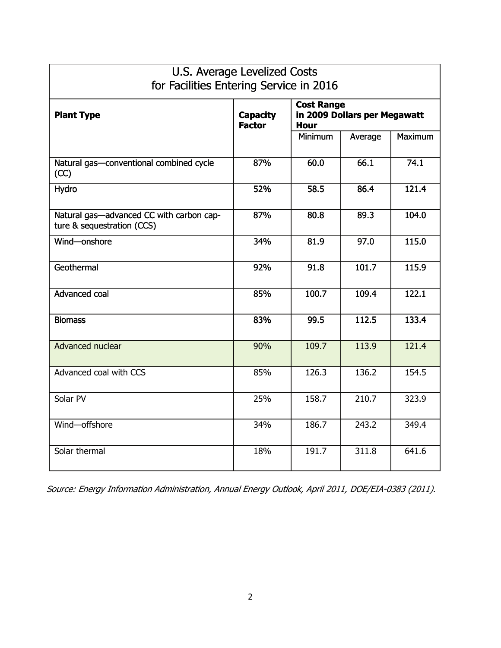| U.S. Average Levelized Costs<br>for Facilities Entering Service in 2016 |                                  |                                                                  |         |         |  |  |  |
|-------------------------------------------------------------------------|----------------------------------|------------------------------------------------------------------|---------|---------|--|--|--|
| <b>Plant Type</b>                                                       | <b>Capacity</b><br><b>Factor</b> | <b>Cost Range</b><br>in 2009 Dollars per Megawatt<br><b>Hour</b> |         |         |  |  |  |
|                                                                         |                                  | <b>Minimum</b>                                                   | Average | Maximum |  |  |  |
| Natural gas-conventional combined cycle<br>(CC)                         | 87%                              | 60.0                                                             | 66.1    | 74.1    |  |  |  |
| Hydro                                                                   | 52%                              | 58.5                                                             | 86.4    | 121.4   |  |  |  |
| Natural gas-advanced CC with carbon cap-<br>ture & sequestration (CCS)  | 87%                              | 80.8                                                             | 89.3    | 104.0   |  |  |  |
| Wind-onshore                                                            | 34%                              | 81.9                                                             | 97.0    | 115.0   |  |  |  |
| Geothermal                                                              | 92%                              | 91.8                                                             | 101.7   | 115.9   |  |  |  |
| Advanced coal                                                           | 85%                              | 100.7                                                            | 109.4   | 122.1   |  |  |  |
| <b>Biomass</b>                                                          | 83%                              | 99.5                                                             | 112.5   | 133.4   |  |  |  |
| Advanced nuclear                                                        | 90%                              | 109.7                                                            | 113.9   | 121.4   |  |  |  |
| Advanced coal with CCS                                                  | 85%                              | 126.3                                                            | 136.2   | 154.5   |  |  |  |
| Solar PV                                                                | 25%                              | 158.7                                                            | 210.7   | 323.9   |  |  |  |
| Wind-offshore                                                           | 34%                              | 186.7                                                            | 243.2   | 349.4   |  |  |  |
| Solar thermal                                                           | 18%                              | 191.7                                                            | 311.8   | 641.6   |  |  |  |

٦

Source: Energy Information Administration, Annual Energy Outlook, April 2011, DOE/EIA-0383 (2011).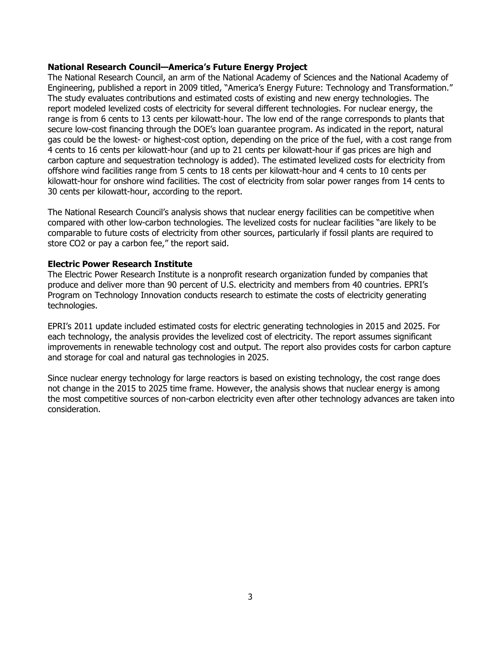### **National Research Council—America's Future Energy Project**

The National Research Council, an arm of the National Academy of Sciences and the National Academy of Engineering, published a report in 2009 titled, "America's Energy Future: Technology and Transformation." The study evaluates contributions and estimated costs of existing and new energy technologies. The report modeled levelized costs of electricity for several different technologies. For nuclear energy, the range is from 6 cents to 13 cents per kilowatt-hour. The low end of the range corresponds to plants that secure low-cost financing through the DOE's loan guarantee program. As indicated in the report, natural gas could be the lowest- or highest-cost option, depending on the price of the fuel, with a cost range from 4 cents to 16 cents per kilowatt-hour (and up to 21 cents per kilowatt-hour if gas prices are high and carbon capture and sequestration technology is added). The estimated levelized costs for electricity from offshore wind facilities range from 5 cents to 18 cents per kilowatt-hour and 4 cents to 10 cents per kilowatt-hour for onshore wind facilities. The cost of electricity from solar power ranges from 14 cents to 30 cents per kilowatt-hour, according to the report.

The National Research Council's analysis shows that nuclear energy facilities can be competitive when compared with other low-carbon technologies. The levelized costs for nuclear facilities "are likely to be comparable to future costs of electricity from other sources, particularly if fossil plants are required to store CO2 or pay a carbon fee," the report said.

## **Electric Power Research Institute**

The Electric Power Research Institute is a nonprofit research organization funded by companies that produce and deliver more than 90 percent of U.S. electricity and members from 40 countries. EPRI's Program on Technology Innovation conducts research to estimate the costs of electricity generating technologies.

EPRI's 2011 update included estimated costs for electric generating technologies in 2015 and 2025. For each technology, the analysis provides the levelized cost of electricity. The report assumes significant improvements in renewable technology cost and output. The report also provides costs for carbon capture and storage for coal and natural gas technologies in 2025.

Since nuclear energy technology for large reactors is based on existing technology, the cost range does not change in the 2015 to 2025 time frame. However, the analysis shows that nuclear energy is among the most competitive sources of non-carbon electricity even after other technology advances are taken into consideration.